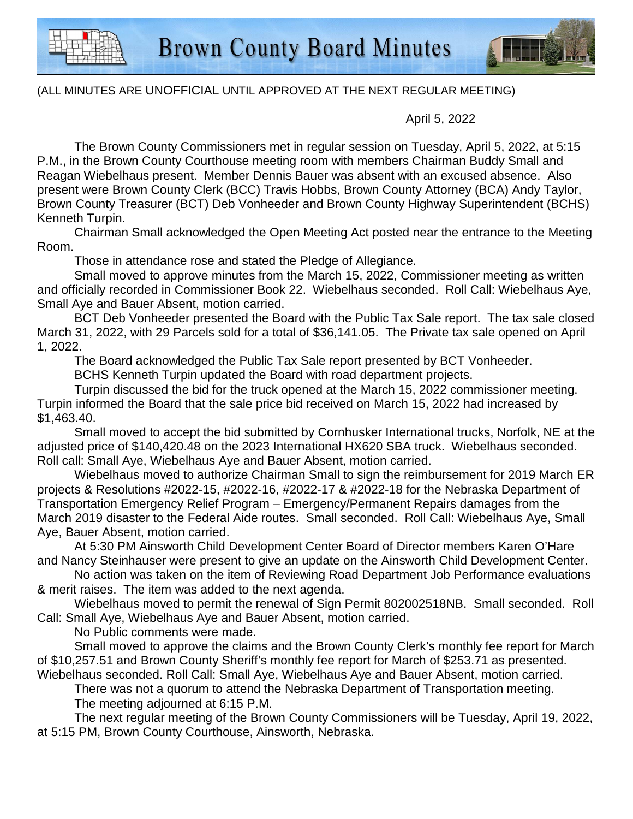

## (ALL MINUTES ARE UNOFFICIAL UNTIL APPROVED AT THE NEXT REGULAR MEETING)

April 5, 2022

The Brown County Commissioners met in regular session on Tuesday, April 5, 2022, at 5:15 P.M., in the Brown County Courthouse meeting room with members Chairman Buddy Small and Reagan Wiebelhaus present. Member Dennis Bauer was absent with an excused absence. Also present were Brown County Clerk (BCC) Travis Hobbs, Brown County Attorney (BCA) Andy Taylor, Brown County Treasurer (BCT) Deb Vonheeder and Brown County Highway Superintendent (BCHS) Kenneth Turpin.

Chairman Small acknowledged the Open Meeting Act posted near the entrance to the Meeting Room.

Those in attendance rose and stated the Pledge of Allegiance.

Small moved to approve minutes from the March 15, 2022, Commissioner meeting as written and officially recorded in Commissioner Book 22. Wiebelhaus seconded. Roll Call: Wiebelhaus Aye, Small Aye and Bauer Absent, motion carried.

BCT Deb Vonheeder presented the Board with the Public Tax Sale report. The tax sale closed March 31, 2022, with 29 Parcels sold for a total of \$36,141.05. The Private tax sale opened on April 1, 2022.

The Board acknowledged the Public Tax Sale report presented by BCT Vonheeder.

BCHS Kenneth Turpin updated the Board with road department projects.

Turpin discussed the bid for the truck opened at the March 15, 2022 commissioner meeting. Turpin informed the Board that the sale price bid received on March 15, 2022 had increased by \$1,463.40.

Small moved to accept the bid submitted by Cornhusker International trucks, Norfolk, NE at the adjusted price of \$140,420.48 on the 2023 International HX620 SBA truck. Wiebelhaus seconded. Roll call: Small Aye, Wiebelhaus Aye and Bauer Absent, motion carried.

Wiebelhaus moved to authorize Chairman Small to sign the reimbursement for 2019 March ER projects & Resolutions #2022-15, #2022-16, #2022-17 & #2022-18 for the Nebraska Department of Transportation Emergency Relief Program – Emergency/Permanent Repairs damages from the March 2019 disaster to the Federal Aide routes. Small seconded. Roll Call: Wiebelhaus Aye, Small Aye, Bauer Absent, motion carried.

At 5:30 PM Ainsworth Child Development Center Board of Director members Karen O'Hare and Nancy Steinhauser were present to give an update on the Ainsworth Child Development Center.

No action was taken on the item of Reviewing Road Department Job Performance evaluations & merit raises. The item was added to the next agenda.

Wiebelhaus moved to permit the renewal of Sign Permit 802002518NB. Small seconded. Roll Call: Small Aye, Wiebelhaus Aye and Bauer Absent, motion carried.

No Public comments were made.

Small moved to approve the claims and the Brown County Clerk's monthly fee report for March of \$10,257.51 and Brown County Sheriff's monthly fee report for March of \$253.71 as presented.

Wiebelhaus seconded. Roll Call: Small Aye, Wiebelhaus Aye and Bauer Absent, motion carried.

There was not a quorum to attend the Nebraska Department of Transportation meeting. The meeting adjourned at 6:15 P.M.

 The next regular meeting of the Brown County Commissioners will be Tuesday, April 19, 2022, at 5:15 PM, Brown County Courthouse, Ainsworth, Nebraska.